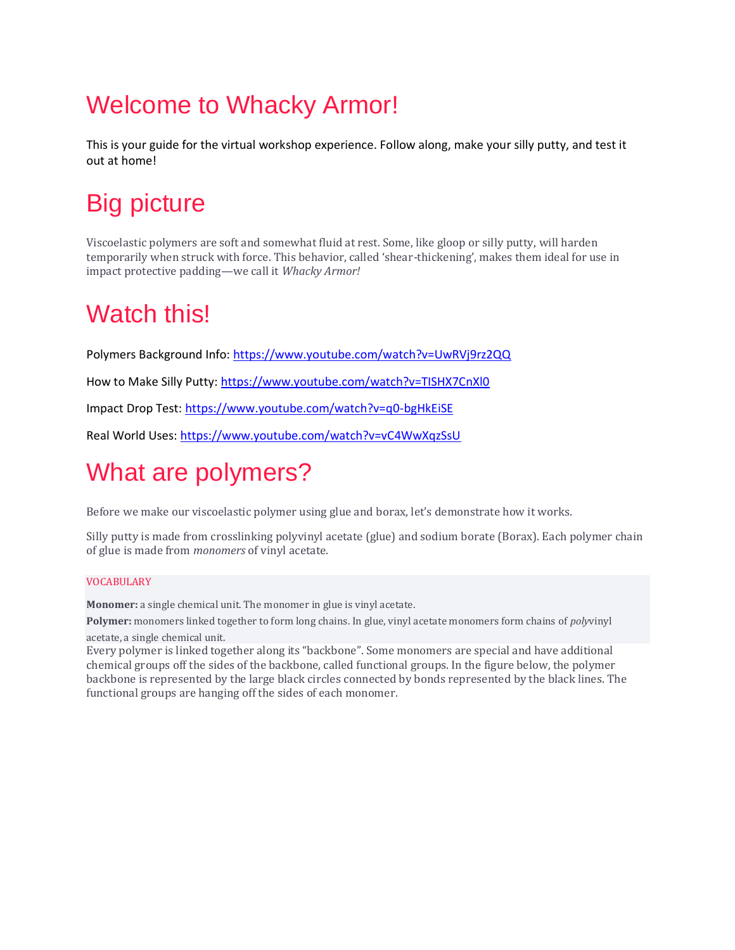# Welcome to Whacky Armor!

This is your guide for the virtual workshop experience. Follow along, make your silly putty, and test it out at home!

## Big picture

Viscoelastic polymers are soft and somewhat fluid at rest. Some, like gloop or silly putty, will harden temporarily when struck with force. This behavior, called 'shear-thickening', makes them ideal for use in impact protective padding—we call it *Whacky Armor!*

### Watch this!

Polymers Background Info:<https://www.youtube.com/watch?v=UwRVj9rz2QQ>

How to Make Silly Putty:<https://www.youtube.com/watch?v=TISHX7CnXl0>

Impact Drop Test:<https://www.youtube.com/watch?v=q0-bgHkEiSE>

Real World Uses:<https://www.youtube.com/watch?v=vC4WwXqzSsU>

# What are polymers?

Before we make our viscoelastic polymer using glue and borax, let's demonstrate how it works.

Silly putty is made from crosslinking polyvinyl acetate (glue) and sodium borate (Borax). Each polymer chain of glue is made from *monomers* of vinyl acetate.

#### VOCABULARY

**Monomer:** a single chemical unit. The monomer in glue is vinyl acetate.

**Polymer:** monomers linked together to form long chains. In glue, vinyl acetate monomers form chains of *poly*vinyl acetate, a single chemical unit.

Every polymer is linked together along its "backbone". Some monomers are special and have additional chemical groups off the sides of the backbone, called functional groups. In the figure below, the polymer backbone is represented by the large black circles connected by bonds represented by the black lines. The functional groups are hanging off the sides of each monomer.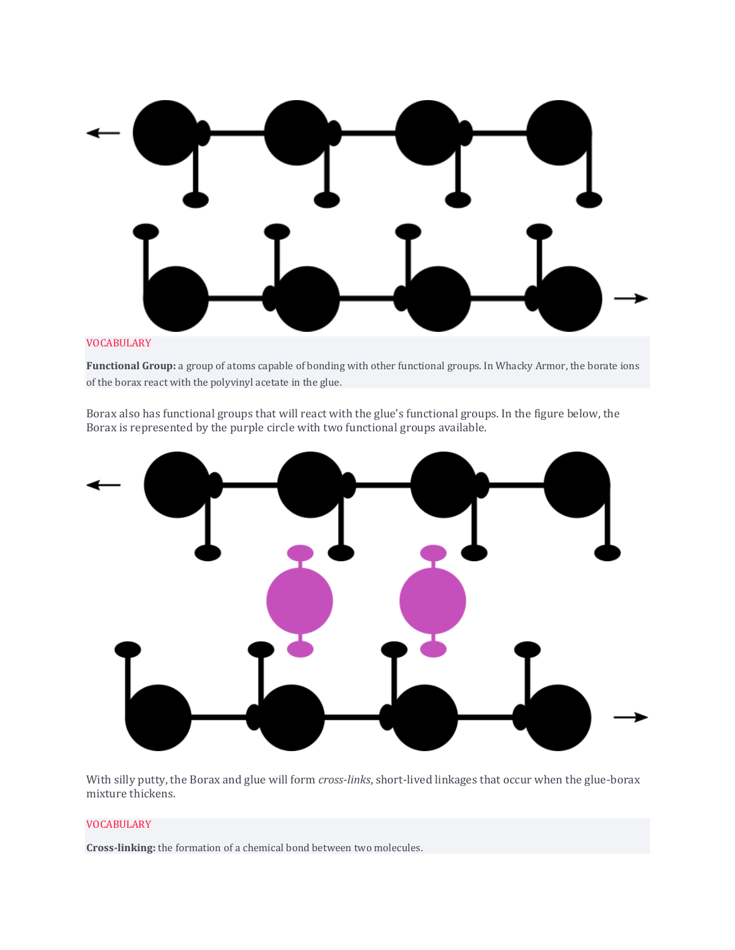

#### VOCABULARY

**Functional Group:** a group of atoms capable of bonding with other functional groups. In Whacky Armor, the borate ions of the borax react with the polyvinyl acetate in the glue.

Borax also has functional groups that will react with the glue's functional groups. In the figure below, the Borax is represented by the purple circle with two functional groups available.



With silly putty, the Borax and glue will form *cross-links*, short-lived linkages that occur when the glue-borax mixture thickens.

#### VOCABULARY

**Cross-linking:** the formation of a chemical bond between two molecules.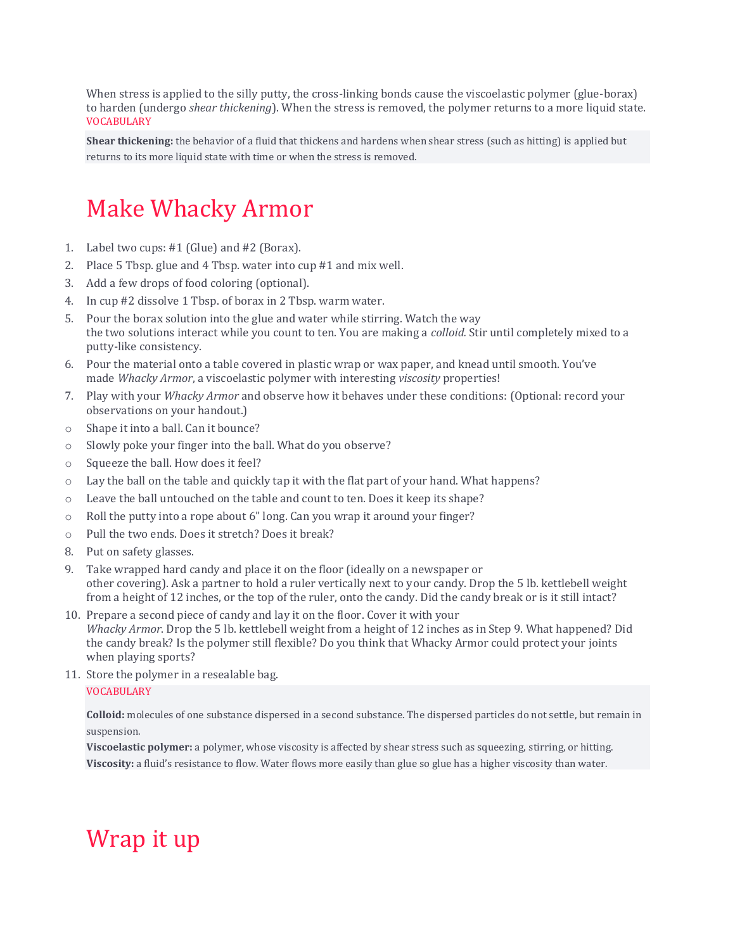When stress is applied to the silly putty, the cross-linking bonds cause the viscoelastic polymer (glue-borax) to harden (undergo *shear thickening*). When the stress is removed, the polymer returns to a more liquid state. VOCABULARY

**Shear thickening:** the behavior of a fluid that thickens and hardens when shear stress (such as hitting) is applied but returns to its more liquid state with time or when the stress is removed.

### Make Whacky Armor

- 1. Label two cups: #1 (Glue) and #2 (Borax).
- 2. Place 5 Tbsp. glue and 4 Tbsp. water into cup #1 and mix well.
- 3. Add a few drops of food coloring (optional).
- 4. In cup #2 dissolve 1 Tbsp. of borax in 2 Tbsp. warm water.
- 5. Pour the borax solution into the glue and water while stirring. Watch the way the two solutions interact while you count to ten. You are making a *colloid.* Stir until completely mixed to a putty-like consistency.
- 6. Pour the material onto a table covered in plastic wrap or wax paper, and knead until smooth. You've made *Whacky Armor*, a viscoelastic polymer with interesting *viscosity* properties!
- 7. Play with your *Whacky Armor* and observe how it behaves under these conditions: (Optional: record your observations on your handout.)
- o Shape it into a ball. Can it bounce?
- o Slowly poke your finger into the ball. What do you observe?
- o Squeeze the ball. How does it feel?
- $\circ$  Lay the ball on the table and quickly tap it with the flat part of your hand. What happens?
- o Leave the ball untouched on the table and count to ten. Does it keep its shape?
- o Roll the putty into a rope about 6" long. Can you wrap it around your finger?
- o Pull the two ends. Does it stretch? Does it break?
- 8. Put on safety glasses.
- 9. Take wrapped hard candy and place it on the floor (ideally on a newspaper or other covering). Ask a partner to hold a ruler vertically next to your candy. Drop the 5 lb. kettlebell weight from a height of 12 inches, or the top of the ruler, onto the candy. Did the candy break or is it still intact?
- 10. Prepare a second piece of candy and lay it on the floor. Cover it with your *Whacky Armor*. Drop the 5 lb. kettlebell weight from a height of 12 inches as in Step 9. What happened? Did the candy break? Is the polymer still flexible? Do you think that Whacky Armor could protect your joints when playing sports?
- 11. Store the polymer in a resealable bag.

#### VOCABULARY

**Colloid:** molecules of one substance dispersed in a second substance. The dispersed particles do not settle, but remain in suspension.

**Viscoelastic polymer:** a polymer, whose viscosity is affected by shear stress such as squeezing, stirring, or hitting. **Viscosity:** a fluid's resistance to flow. Water flows more easily than glue so glue has a higher viscosity than water.

### Wrap it up